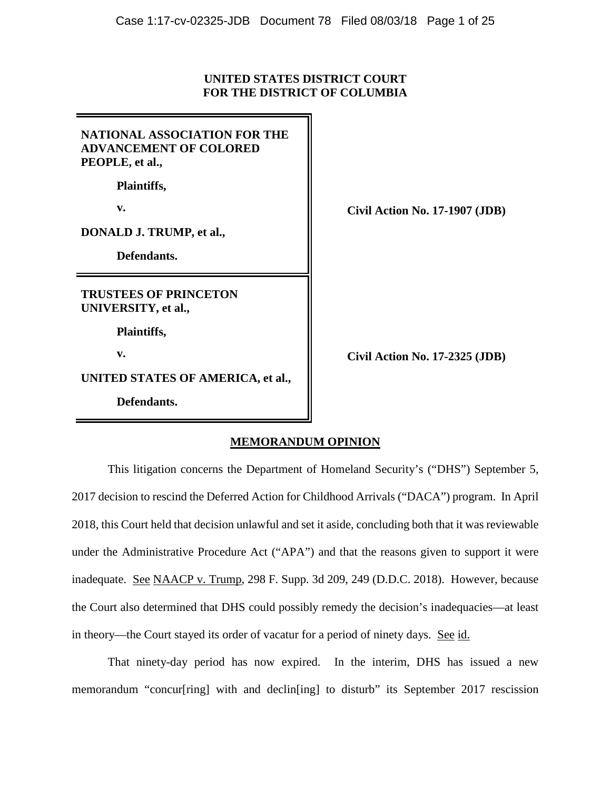## **UNITED STATES DISTRICT COURT FOR THE DISTRICT OF COLUMBIA**

| NATIONAL ASSOCIATION FOR THE<br><b>ADVANCEMENT OF COLORED</b><br>PEOPLE, et al., |
|----------------------------------------------------------------------------------|
| <b>Plaintiffs,</b>                                                               |
| v.                                                                               |
| DONALD J. TRUMP, et al.,                                                         |
| Defendants.                                                                      |
| <b>TRUSTEES OF PRINCETON</b><br>UNIVERSITY, et al.,                              |
| <b>Plaintiffs,</b>                                                               |
| v.                                                                               |
|                                                                                  |

**Defendants.**

**v. Civil Action No. 17-1907 (JDB)**

**v. Civil Action No. 17-2325 (JDB)**

# **MEMORANDUM OPINION**

This litigation concerns the Department of Homeland Security's ("DHS") September 5, 2017 decision to rescind the Deferred Action for Childhood Arrivals ("DACA") program. In April 2018, this Court held that decision unlawful and set it aside, concluding both that it was reviewable under the Administrative Procedure Act ("APA") and that the reasons given to support it were inadequate. See NAACP v. Trump, 298 F. Supp. 3d 209, 249 (D.D.C. 2018). However, because the Court also determined that DHS could possibly remedy the decision's inadequacies—at least in theory—the Court stayed its order of vacatur for a period of ninety days. See id.

That ninety-day period has now expired. In the interim, DHS has issued a new memorandum "concur[ring] with and declin[ing] to disturb" its September 2017 rescission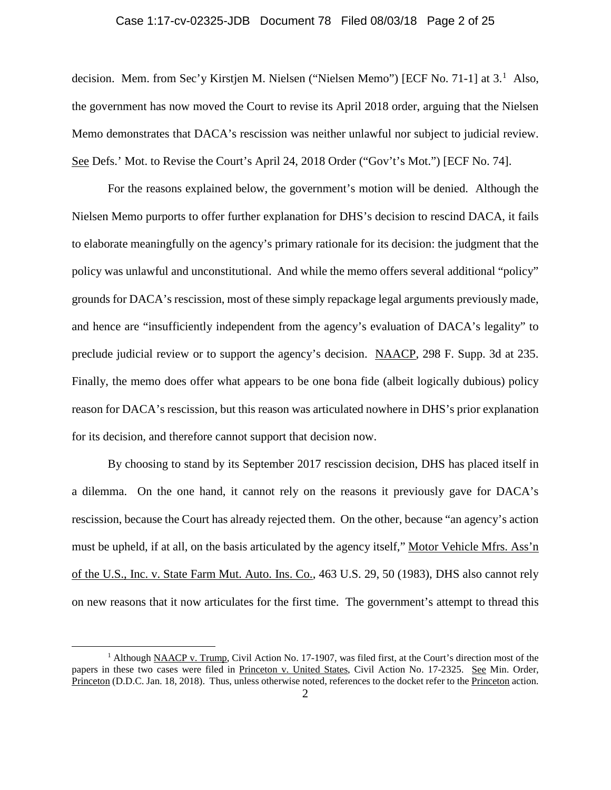## Case 1:17-cv-02325-JDB Document 78 Filed 08/03/18 Page 2 of 25

decision. Mem. from Sec'y Kirstjen M. Nielsen ("Nielsen Memo") [ECF No. 7[1](#page-1-0)-1] at 3.<sup>1</sup> Also, the government has now moved the Court to revise its April 2018 order, arguing that the Nielsen Memo demonstrates that DACA's rescission was neither unlawful nor subject to judicial review. See Defs.' Mot. to Revise the Court's April 24, 2018 Order ("Gov't's Mot.") [ECF No. 74].

For the reasons explained below, the government's motion will be denied. Although the Nielsen Memo purports to offer further explanation for DHS's decision to rescind DACA, it fails to elaborate meaningfully on the agency's primary rationale for its decision: the judgment that the policy was unlawful and unconstitutional. And while the memo offers several additional "policy" grounds for DACA's rescission, most of these simply repackage legal arguments previously made, and hence are "insufficiently independent from the agency's evaluation of DACA's legality" to preclude judicial review or to support the agency's decision. NAACP, 298 F. Supp. 3d at 235. Finally, the memo does offer what appears to be one bona fide (albeit logically dubious) policy reason for DACA's rescission, but this reason was articulated nowhere in DHS's prior explanation for its decision, and therefore cannot support that decision now.

By choosing to stand by its September 2017 rescission decision, DHS has placed itself in a dilemma. On the one hand, it cannot rely on the reasons it previously gave for DACA's rescission, because the Court has already rejected them. On the other, because "an agency's action must be upheld, if at all, on the basis articulated by the agency itself," Motor Vehicle Mfrs. Ass'n of the U.S., Inc. v. State Farm Mut. Auto. Ins. Co., 463 U.S. 29, 50 (1983), DHS also cannot rely on new reasons that it now articulates for the first time. The government's attempt to thread this

<span id="page-1-0"></span><sup>&</sup>lt;sup>1</sup> Although NAACP v. Trump, Civil Action No. 17-1907, was filed first, at the Court's direction most of the papers in these two cases were filed in Princeton v. United States, Civil Action No. 17-2325. See Min. Order, Princeton (D.D.C. Jan. 18, 2018). Thus, unless otherwise noted, references to the docket refer to the Princeton action.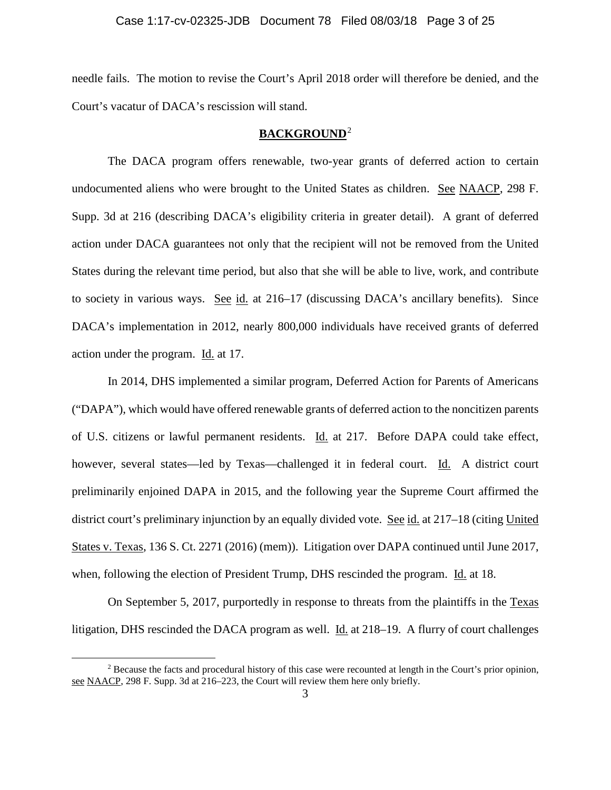needle fails. The motion to revise the Court's April 2018 order will therefore be denied, and the Court's vacatur of DACA's rescission will stand.

# **BACKGROUND**[2](#page-2-0)

The DACA program offers renewable, two-year grants of deferred action to certain undocumented aliens who were brought to the United States as children. See NAACP, 298 F. Supp. 3d at 216 (describing DACA's eligibility criteria in greater detail). A grant of deferred action under DACA guarantees not only that the recipient will not be removed from the United States during the relevant time period, but also that she will be able to live, work, and contribute to society in various ways. See id. at 216–17 (discussing DACA's ancillary benefits). Since DACA's implementation in 2012, nearly 800,000 individuals have received grants of deferred action under the program. Id. at 17.

In 2014, DHS implemented a similar program, Deferred Action for Parents of Americans ("DAPA"), which would have offered renewable grants of deferred action to the noncitizen parents of U.S. citizens or lawful permanent residents. Id. at 217. Before DAPA could take effect, however, several states—led by Texas—challenged it in federal court. Id. A district court preliminarily enjoined DAPA in 2015, and the following year the Supreme Court affirmed the district court's preliminary injunction by an equally divided vote. See id. at 217–18 (citing United States v. Texas, 136 S. Ct. 2271 (2016) (mem)). Litigation over DAPA continued until June 2017, when, following the election of President Trump, DHS rescinded the program. Id. at 18.

On September 5, 2017, purportedly in response to threats from the plaintiffs in the Texas litigation, DHS rescinded the DACA program as well. Id. at 218–19. A flurry of court challenges

<span id="page-2-0"></span><sup>&</sup>lt;sup>2</sup> Because the facts and procedural history of this case were recounted at length in the Court's prior opinion, see NAACP, 298 F. Supp. 3d at 216–223, the Court will review them here only briefly.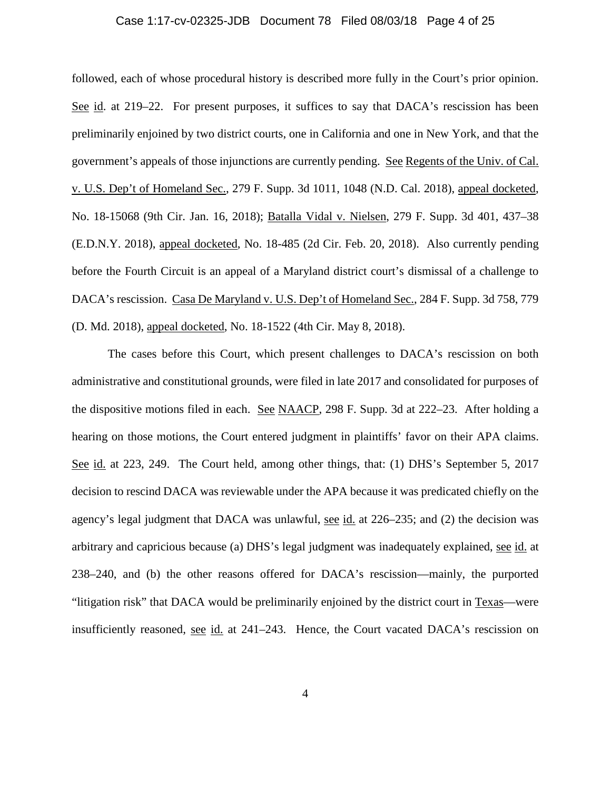### Case 1:17-cv-02325-JDB Document 78 Filed 08/03/18 Page 4 of 25

followed, each of whose procedural history is described more fully in the Court's prior opinion. See id. at 219–22. For present purposes, it suffices to say that DACA's rescission has been preliminarily enjoined by two district courts, one in California and one in New York, and that the government's appeals of those injunctions are currently pending. See Regents of the Univ. of Cal. v. U.S. Dep't of Homeland Sec., 279 F. Supp. 3d 1011, 1048 (N.D. Cal. 2018), appeal docketed, No. 18-15068 (9th Cir. Jan. 16, 2018); Batalla Vidal v. Nielsen, 279 F. Supp. 3d 401, 437–38 (E.D.N.Y. 2018), appeal docketed, No. 18-485 (2d Cir. Feb. 20, 2018). Also currently pending before the Fourth Circuit is an appeal of a Maryland district court's dismissal of a challenge to DACA's rescission. Casa De Maryland v. U.S. Dep't of Homeland Sec., 284 F. Supp. 3d 758, 779 (D. Md. 2018), appeal docketed, No. 18-1522 (4th Cir. May 8, 2018).

The cases before this Court, which present challenges to DACA's rescission on both administrative and constitutional grounds, were filed in late 2017 and consolidated for purposes of the dispositive motions filed in each. See NAACP, 298 F. Supp. 3d at 222–23. After holding a hearing on those motions, the Court entered judgment in plaintiffs' favor on their APA claims. See id. at 223, 249. The Court held, among other things, that: (1) DHS's September 5, 2017 decision to rescind DACA was reviewable under the APA because it was predicated chiefly on the agency's legal judgment that DACA was unlawful, see id. at 226–235; and (2) the decision was arbitrary and capricious because (a) DHS's legal judgment was inadequately explained, see id. at 238–240, and (b) the other reasons offered for DACA's rescission—mainly, the purported "litigation risk" that DACA would be preliminarily enjoined by the district court in Texas—were insufficiently reasoned, see id. at 241–243. Hence, the Court vacated DACA's rescission on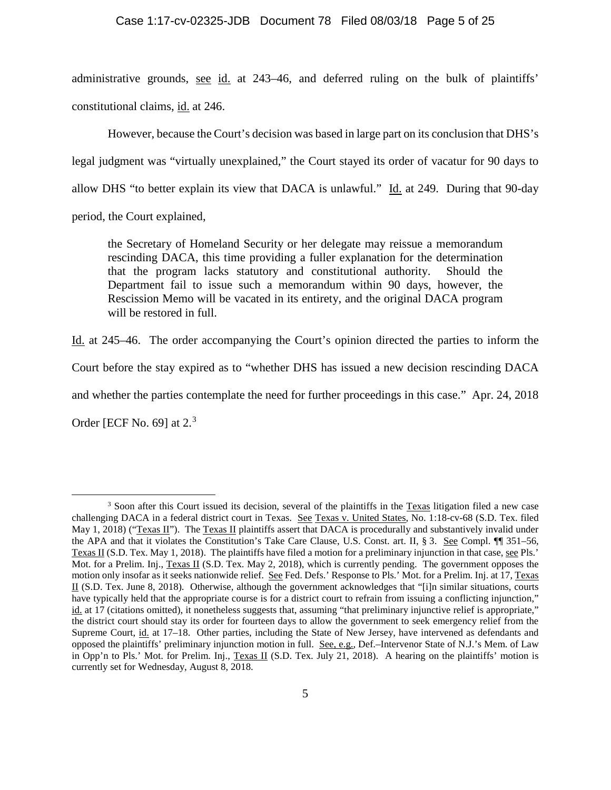### Case 1:17-cv-02325-JDB Document 78 Filed 08/03/18 Page 5 of 25

administrative grounds, see id. at 243–46, and deferred ruling on the bulk of plaintiffs' constitutional claims, id. at 246.

However, because the Court's decision was based in large part on its conclusion that DHS's legal judgment was "virtually unexplained," the Court stayed its order of vacatur for 90 days to allow DHS "to better explain its view that DACA is unlawful." Id. at 249. During that 90-day

period, the Court explained,

the Secretary of Homeland Security or her delegate may reissue a memorandum rescinding DACA, this time providing a fuller explanation for the determination that the program lacks statutory and constitutional authority. Should the Department fail to issue such a memorandum within 90 days, however, the Rescission Memo will be vacated in its entirety, and the original DACA program will be restored in full.

Id. at 245–46. The order accompanying the Court's opinion directed the parties to inform the

Court before the stay expired as to "whether DHS has issued a new decision rescinding DACA

and whether the parties contemplate the need for further proceedings in this case." Apr. 24, 2018

Order [ECF No. 69] at 2.<sup>[3](#page-4-0)</sup>

<span id="page-4-0"></span><sup>&</sup>lt;sup>3</sup> Soon after this Court issued its decision, several of the plaintiffs in the Texas litigation filed a new case challenging DACA in a federal district court in Texas. See Texas v. United States, No. 1:18-cv-68 (S.D. Tex. filed May 1, 2018) ("Texas II"). The Texas II plaintiffs assert that DACA is procedurally and substantively invalid under the APA and that it violates the Constitution's Take Care Clause, U.S. Const. art. II, § 3. See Compl. ¶¶ 351–56, Texas II (S.D. Tex. May 1, 2018). The plaintiffs have filed a motion for a preliminary injunction in that case, see Pls.' Mot. for a Prelim. Inj., Texas II (S.D. Tex. May 2, 2018), which is currently pending. The government opposes the motion only insofar as it seeks nationwide relief. See Fed. Defs.' Response to Pls.' Mot. for a Prelim. Inj. at 17, Texas II (S.D. Tex. June 8, 2018). Otherwise, although the government acknowledges that "[i]n similar situations, courts have typically held that the appropriate course is for a district court to refrain from issuing a conflicting injunction," id. at 17 (citations omitted), it nonetheless suggests that, assuming "that preliminary injunctive relief is appropriate," the district court should stay its order for fourteen days to allow the government to seek emergency relief from the Supreme Court, id. at 17–18. Other parties, including the State of New Jersey, have intervened as defendants and opposed the plaintiffs' preliminary injunction motion in full. See, e.g., Def.–Intervenor State of N.J.'s Mem. of Law in Opp'n to Pls.' Mot. for Prelim. Inj., Texas II (S.D. Tex. July 21, 2018). A hearing on the plaintiffs' motion is currently set for Wednesday, August 8, 2018.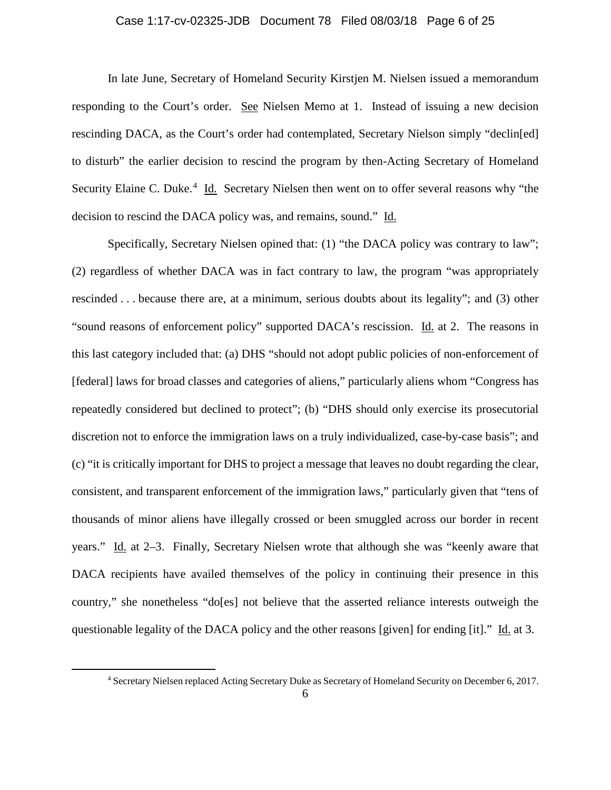## Case 1:17-cv-02325-JDB Document 78 Filed 08/03/18 Page 6 of 25

In late June, Secretary of Homeland Security Kirstjen M. Nielsen issued a memorandum responding to the Court's order. See Nielsen Memo at 1. Instead of issuing a new decision rescinding DACA, as the Court's order had contemplated, Secretary Nielson simply "declin[ed] to disturb" the earlier decision to rescind the program by then-Acting Secretary of Homeland Security Elaine C. Duke.<sup>[4](#page-5-0)</sup> Id. Secretary Nielsen then went on to offer several reasons why "the decision to rescind the DACA policy was, and remains, sound." Id.

Specifically, Secretary Nielsen opined that: (1) "the DACA policy was contrary to law"; (2) regardless of whether DACA was in fact contrary to law, the program "was appropriately rescinded . . . because there are, at a minimum, serious doubts about its legality"; and (3) other "sound reasons of enforcement policy" supported DACA's rescission. Id. at 2. The reasons in this last category included that: (a) DHS "should not adopt public policies of non-enforcement of [federal] laws for broad classes and categories of aliens," particularly aliens whom "Congress has repeatedly considered but declined to protect"; (b) "DHS should only exercise its prosecutorial discretion not to enforce the immigration laws on a truly individualized, case-by-case basis"; and (c) "it is critically important for DHS to project a message that leaves no doubt regarding the clear, consistent, and transparent enforcement of the immigration laws," particularly given that "tens of thousands of minor aliens have illegally crossed or been smuggled across our border in recent years." Id. at 2–3. Finally, Secretary Nielsen wrote that although she was "keenly aware that DACA recipients have availed themselves of the policy in continuing their presence in this country," she nonetheless "do[es] not believe that the asserted reliance interests outweigh the questionable legality of the DACA policy and the other reasons [given] for ending [it]." Id. at 3.

<span id="page-5-0"></span> <sup>4</sup> Secretary Nielsen replaced Acting Secretary Duke as Secretary of Homeland Security on December 6, 2017.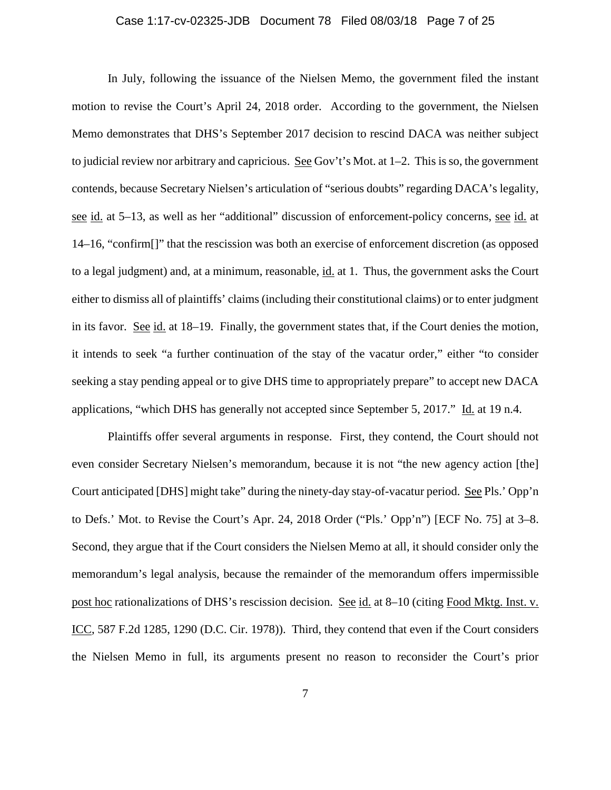## Case 1:17-cv-02325-JDB Document 78 Filed 08/03/18 Page 7 of 25

In July, following the issuance of the Nielsen Memo, the government filed the instant motion to revise the Court's April 24, 2018 order. According to the government, the Nielsen Memo demonstrates that DHS's September 2017 decision to rescind DACA was neither subject to judicial review nor arbitrary and capricious. See Gov't's Mot. at 1–2. This is so, the government contends, because Secretary Nielsen's articulation of "serious doubts" regarding DACA's legality, see id. at 5–13, as well as her "additional" discussion of enforcement-policy concerns, see id. at 14–16, "confirm[]" that the rescission was both an exercise of enforcement discretion (as opposed to a legal judgment) and, at a minimum, reasonable, id. at 1. Thus, the government asks the Court either to dismiss all of plaintiffs' claims (including their constitutional claims) or to enter judgment in its favor. See id. at 18–19. Finally, the government states that, if the Court denies the motion, it intends to seek "a further continuation of the stay of the vacatur order," either "to consider seeking a stay pending appeal or to give DHS time to appropriately prepare" to accept new DACA applications, "which DHS has generally not accepted since September 5, 2017." Id. at 19 n.4.

Plaintiffs offer several arguments in response. First, they contend, the Court should not even consider Secretary Nielsen's memorandum, because it is not "the new agency action [the] Court anticipated [DHS] might take" during the ninety-day stay-of-vacatur period. See Pls.' Opp'n to Defs.' Mot. to Revise the Court's Apr. 24, 2018 Order ("Pls.' Opp'n") [ECF No. 75] at 3–8. Second, they argue that if the Court considers the Nielsen Memo at all, it should consider only the memorandum's legal analysis, because the remainder of the memorandum offers impermissible post hoc rationalizations of DHS's rescission decision. See id. at 8–10 (citing Food Mktg. Inst. v. ICC, 587 F.2d 1285, 1290 (D.C. Cir. 1978)). Third, they contend that even if the Court considers the Nielsen Memo in full, its arguments present no reason to reconsider the Court's prior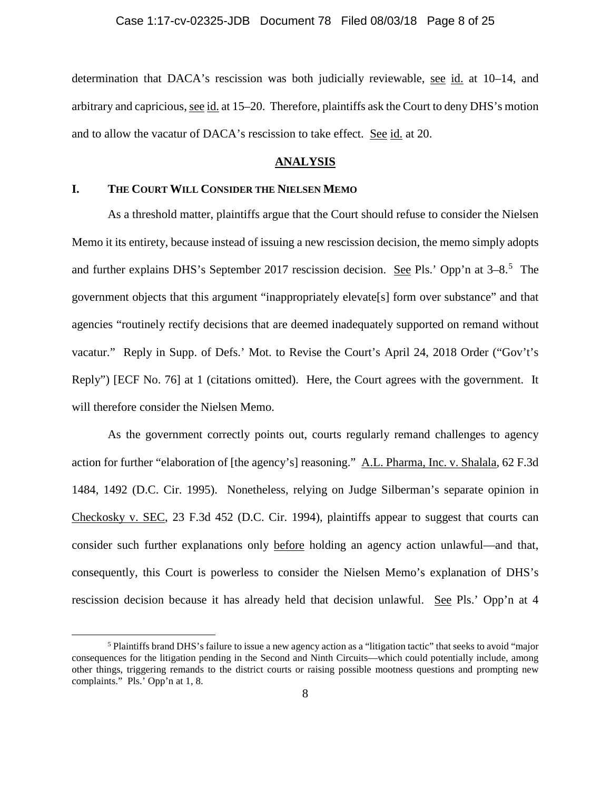determination that DACA's rescission was both judicially reviewable, see id. at 10–14, and arbitrary and capricious, see id. at 15–20. Therefore, plaintiffs ask the Court to deny DHS's motion and to allow the vacatur of DACA's rescission to take effect. See id. at 20.

### **ANALYSIS**

## **I. THE COURT WILL CONSIDER THE NIELSEN MEMO**

As a threshold matter, plaintiffs argue that the Court should refuse to consider the Nielsen Memo it its entirety, because instead of issuing a new rescission decision, the memo simply adopts and further explains DHS's September 2017 rescission decision. See Pls.' Opp'n at 3–8.<sup>[5](#page-7-0)</sup> The government objects that this argument "inappropriately elevate[s] form over substance" and that agencies "routinely rectify decisions that are deemed inadequately supported on remand without vacatur." Reply in Supp. of Defs.' Mot. to Revise the Court's April 24, 2018 Order ("Gov't's Reply") [ECF No. 76] at 1 (citations omitted). Here, the Court agrees with the government. It will therefore consider the Nielsen Memo.

As the government correctly points out, courts regularly remand challenges to agency action for further "elaboration of [the agency's] reasoning." A.L. Pharma, Inc. v. Shalala, 62 F.3d 1484, 1492 (D.C. Cir. 1995). Nonetheless, relying on Judge Silberman's separate opinion in Checkosky v. SEC, 23 F.3d 452 (D.C. Cir. 1994), plaintiffs appear to suggest that courts can consider such further explanations only before holding an agency action unlawful—and that, consequently, this Court is powerless to consider the Nielsen Memo's explanation of DHS's rescission decision because it has already held that decision unlawful. See Pls.' Opp'n at 4

<span id="page-7-0"></span> <sup>5</sup> Plaintiffs brand DHS's failure to issue a new agency action as a "litigation tactic" that seeks to avoid "major consequences for the litigation pending in the Second and Ninth Circuits—which could potentially include, among other things, triggering remands to the district courts or raising possible mootness questions and prompting new complaints." Pls.' Opp'n at 1, 8.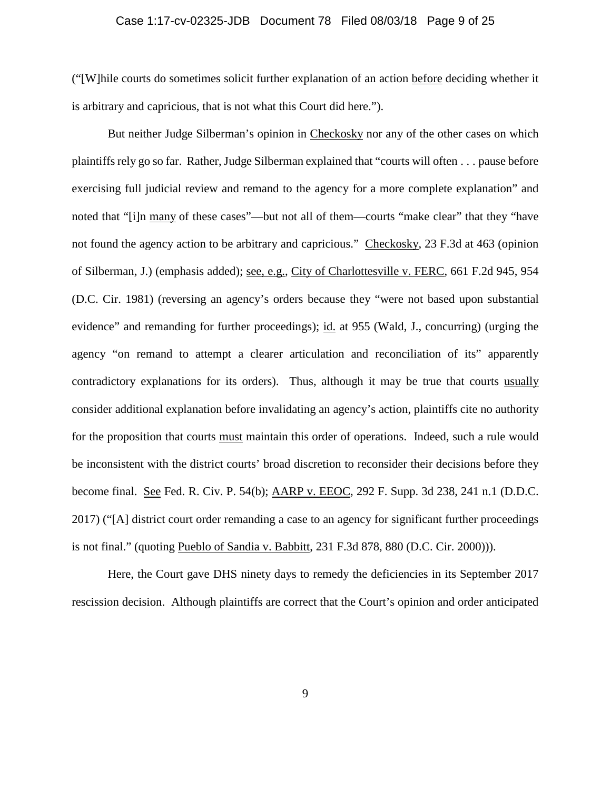### Case 1:17-cv-02325-JDB Document 78 Filed 08/03/18 Page 9 of 25

("[W]hile courts do sometimes solicit further explanation of an action before deciding whether it is arbitrary and capricious, that is not what this Court did here.").

But neither Judge Silberman's opinion in Checkosky nor any of the other cases on which plaintiffs rely go so far. Rather, Judge Silberman explained that "courts will often . . . pause before exercising full judicial review and remand to the agency for a more complete explanation" and noted that "[i]n many of these cases"—but not all of them—courts "make clear" that they "have not found the agency action to be arbitrary and capricious." Checkosky, 23 F.3d at 463 (opinion of Silberman, J.) (emphasis added); see, e.g., City of Charlottesville v. FERC, 661 F.2d 945, 954 (D.C. Cir. 1981) (reversing an agency's orders because they "were not based upon substantial evidence" and remanding for further proceedings); id. at 955 (Wald, J., concurring) (urging the agency "on remand to attempt a clearer articulation and reconciliation of its" apparently contradictory explanations for its orders). Thus, although it may be true that courts usually consider additional explanation before invalidating an agency's action, plaintiffs cite no authority for the proposition that courts must maintain this order of operations. Indeed, such a rule would be inconsistent with the district courts' broad discretion to reconsider their decisions before they become final. See Fed. R. Civ. P. 54(b); AARP v. EEOC, 292 F. Supp. 3d 238, 241 n.1 (D.D.C. 2017) ("[A] district court order remanding a case to an agency for significant further proceedings is not final." (quoting Pueblo of Sandia v. Babbitt, 231 F.3d 878, 880 (D.C. Cir. 2000))).

Here, the Court gave DHS ninety days to remedy the deficiencies in its September 2017 rescission decision. Although plaintiffs are correct that the Court's opinion and order anticipated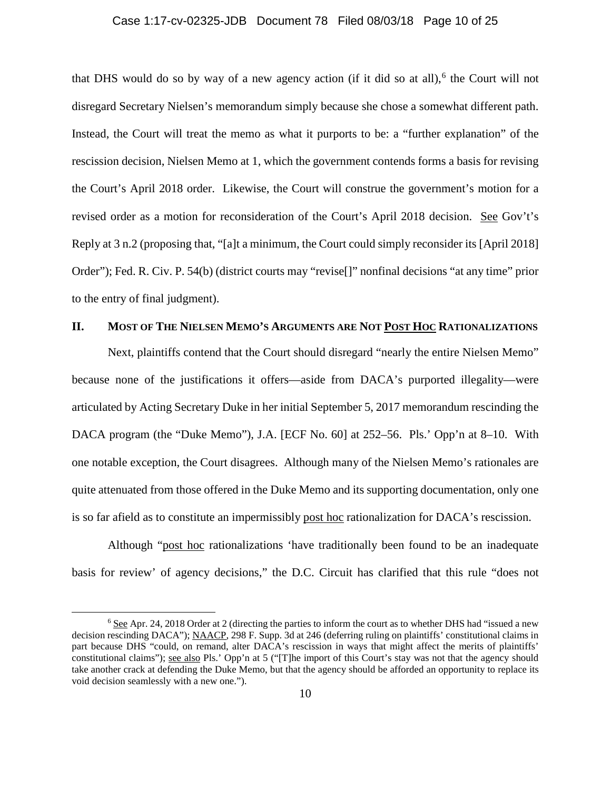### Case 1:17-cv-02325-JDB Document 78 Filed 08/03/18 Page 10 of 25

that DHS would do so by way of a new agency action (if it did so at all),<sup>[6](#page-9-0)</sup> the Court will not disregard Secretary Nielsen's memorandum simply because she chose a somewhat different path. Instead, the Court will treat the memo as what it purports to be: a "further explanation" of the rescission decision, Nielsen Memo at 1, which the government contends forms a basis for revising the Court's April 2018 order. Likewise, the Court will construe the government's motion for a revised order as a motion for reconsideration of the Court's April 2018 decision. See Gov't's Reply at 3 n.2 (proposing that, "[a]t a minimum, the Court could simply reconsider its [April 2018] Order"); Fed. R. Civ. P. 54(b) (district courts may "revise[]" nonfinal decisions "at any time" prior to the entry of final judgment).

## **II. MOST OF THE NIELSEN MEMO'S ARGUMENTS ARE NOT POST HOC RATIONALIZATIONS**

Next, plaintiffs contend that the Court should disregard "nearly the entire Nielsen Memo" because none of the justifications it offers—aside from DACA's purported illegality—were articulated by Acting Secretary Duke in her initial September 5, 2017 memorandum rescinding the DACA program (the "Duke Memo"), J.A. [ECF No. 60] at 252–56. Pls.' Opp'n at 8–10. With one notable exception, the Court disagrees. Although many of the Nielsen Memo's rationales are quite attenuated from those offered in the Duke Memo and its supporting documentation, only one is so far afield as to constitute an impermissibly post hoc rationalization for DACA's rescission.

Although "post hoc rationalizations 'have traditionally been found to be an inadequate basis for review' of agency decisions," the D.C. Circuit has clarified that this rule "does not

<span id="page-9-0"></span> <sup>6</sup> See Apr. 24, 2018 Order at 2 (directing the parties to inform the court as to whether DHS had "issued a new decision rescinding DACA"); NAACP, 298 F. Supp. 3d at 246 (deferring ruling on plaintiffs' constitutional claims in part because DHS "could, on remand, alter DACA's rescission in ways that might affect the merits of plaintiffs' constitutional claims"); see also Pls.' Opp'n at 5 ("[T]he import of this Court's stay was not that the agency should take another crack at defending the Duke Memo, but that the agency should be afforded an opportunity to replace its void decision seamlessly with a new one.").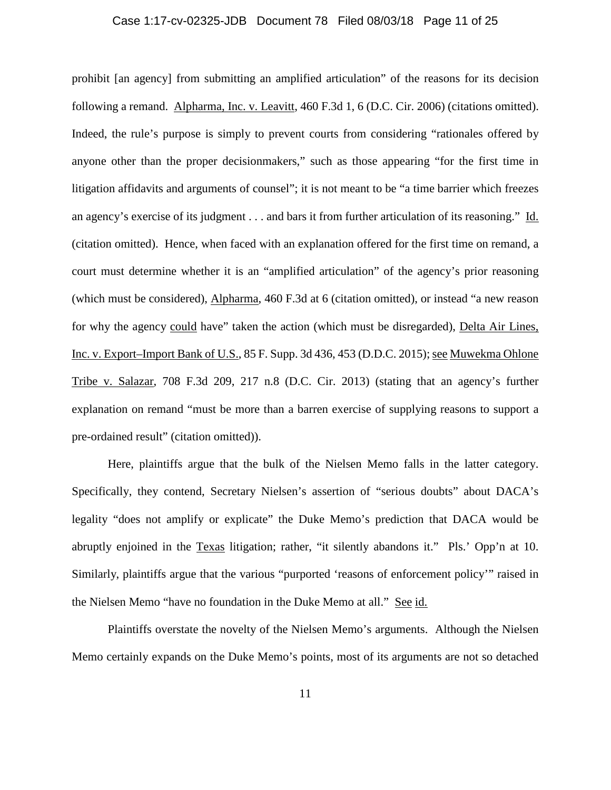### Case 1:17-cv-02325-JDB Document 78 Filed 08/03/18 Page 11 of 25

prohibit [an agency] from submitting an amplified articulation" of the reasons for its decision following a remand. Alpharma, Inc. v. Leavitt, 460 F.3d 1, 6 (D.C. Cir. 2006) (citations omitted). Indeed, the rule's purpose is simply to prevent courts from considering "rationales offered by anyone other than the proper decisionmakers," such as those appearing "for the first time in litigation affidavits and arguments of counsel"; it is not meant to be "a time barrier which freezes an agency's exercise of its judgment . . . and bars it from further articulation of its reasoning." Id. (citation omitted). Hence, when faced with an explanation offered for the first time on remand, a court must determine whether it is an "amplified articulation" of the agency's prior reasoning (which must be considered), Alpharma, 460 F.3d at 6 (citation omitted), or instead "a new reason for why the agency could have" taken the action (which must be disregarded), Delta Air Lines, Inc. v. Export–Import Bank of U.S., 85 F. Supp. 3d 436, 453 (D.D.C. 2015); see Muwekma Ohlone Tribe v. Salazar, 708 F.3d 209, 217 n.8 (D.C. Cir. 2013) (stating that an agency's further explanation on remand "must be more than a barren exercise of supplying reasons to support a pre-ordained result" (citation omitted)).

Here, plaintiffs argue that the bulk of the Nielsen Memo falls in the latter category. Specifically, they contend, Secretary Nielsen's assertion of "serious doubts" about DACA's legality "does not amplify or explicate" the Duke Memo's prediction that DACA would be abruptly enjoined in the Texas litigation; rather, "it silently abandons it." Pls.' Opp'n at 10. Similarly, plaintiffs argue that the various "purported 'reasons of enforcement policy'" raised in the Nielsen Memo "have no foundation in the Duke Memo at all." See id.

Plaintiffs overstate the novelty of the Nielsen Memo's arguments. Although the Nielsen Memo certainly expands on the Duke Memo's points, most of its arguments are not so detached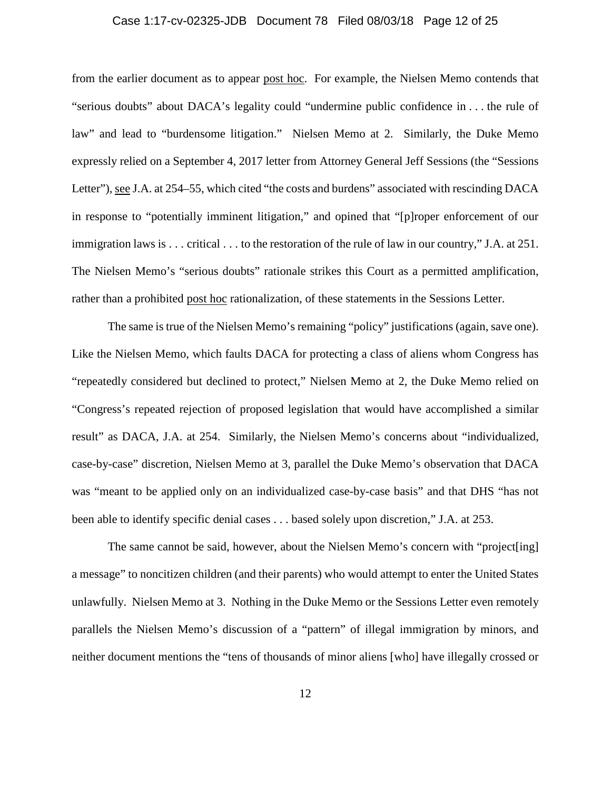## Case 1:17-cv-02325-JDB Document 78 Filed 08/03/18 Page 12 of 25

from the earlier document as to appear post hoc. For example, the Nielsen Memo contends that "serious doubts" about DACA's legality could "undermine public confidence in . . . the rule of law" and lead to "burdensome litigation." Nielsen Memo at 2. Similarly, the Duke Memo expressly relied on a September 4, 2017 letter from Attorney General Jeff Sessions (the "Sessions Letter"), see J.A. at 254–55, which cited "the costs and burdens" associated with rescinding DACA in response to "potentially imminent litigation," and opined that "[p]roper enforcement of our immigration laws is . . . critical . . . to the restoration of the rule of law in our country," J.A. at 251. The Nielsen Memo's "serious doubts" rationale strikes this Court as a permitted amplification, rather than a prohibited post hoc rationalization, of these statements in the Sessions Letter.

The same is true of the Nielsen Memo's remaining "policy" justifications (again, save one). Like the Nielsen Memo, which faults DACA for protecting a class of aliens whom Congress has "repeatedly considered but declined to protect," Nielsen Memo at 2, the Duke Memo relied on "Congress's repeated rejection of proposed legislation that would have accomplished a similar result" as DACA, J.A. at 254. Similarly, the Nielsen Memo's concerns about "individualized, case-by-case" discretion, Nielsen Memo at 3, parallel the Duke Memo's observation that DACA was "meant to be applied only on an individualized case-by-case basis" and that DHS "has not been able to identify specific denial cases . . . based solely upon discretion," J.A. at 253.

The same cannot be said, however, about the Nielsen Memo's concern with "project[ing] a message" to noncitizen children (and their parents) who would attempt to enter the United States unlawfully. Nielsen Memo at 3. Nothing in the Duke Memo or the Sessions Letter even remotely parallels the Nielsen Memo's discussion of a "pattern" of illegal immigration by minors, and neither document mentions the "tens of thousands of minor aliens [who] have illegally crossed or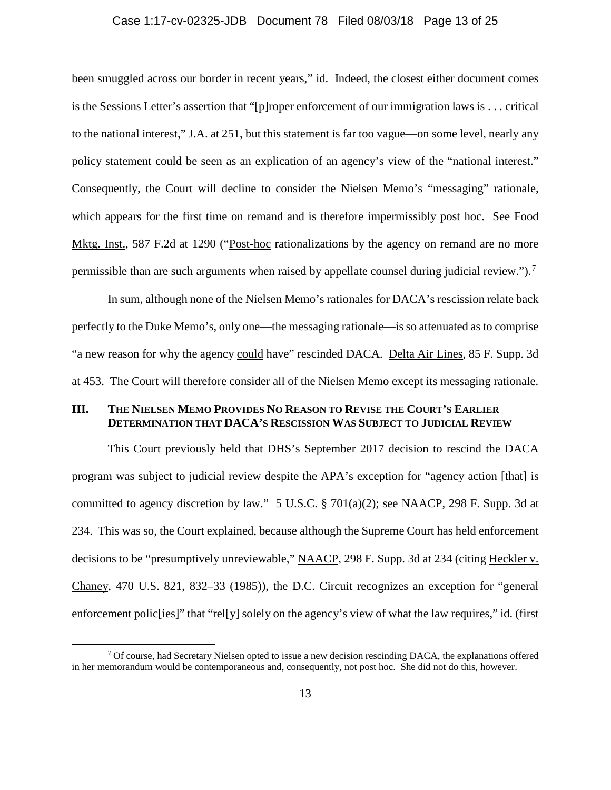### Case 1:17-cv-02325-JDB Document 78 Filed 08/03/18 Page 13 of 25

been smuggled across our border in recent years," id. Indeed, the closest either document comes is the Sessions Letter's assertion that "[p]roper enforcement of our immigration laws is . . . critical to the national interest," J.A. at 251, but this statement is far too vague—on some level, nearly any policy statement could be seen as an explication of an agency's view of the "national interest." Consequently, the Court will decline to consider the Nielsen Memo's "messaging" rationale, which appears for the first time on remand and is therefore impermissibly post hoc. See Food Mktg. Inst., 587 F.2d at 1290 ("Post-hoc rationalizations by the agency on remand are no more permissible than are such arguments when raised by appellate counsel during judicial review.").[7](#page-12-0)

In sum, although none of the Nielsen Memo's rationales for DACA's rescission relate back perfectly to the Duke Memo's, only one—the messaging rationale—is so attenuated as to comprise "a new reason for why the agency could have" rescinded DACA. Delta Air Lines, 85 F. Supp. 3d at 453. The Court will therefore consider all of the Nielsen Memo except its messaging rationale.

## **III. THE NIELSEN MEMO PROVIDES NO REASON TO REVISE THE COURT'S EARLIER DETERMINATION THAT DACA'S RESCISSION WAS SUBJECT TO JUDICIAL REVIEW**

This Court previously held that DHS's September 2017 decision to rescind the DACA program was subject to judicial review despite the APA's exception for "agency action [that] is committed to agency discretion by law." 5 U.S.C. § 701(a)(2); see NAACP, 298 F. Supp. 3d at 234. This was so, the Court explained, because although the Supreme Court has held enforcement decisions to be "presumptively unreviewable," NAACP, 298 F. Supp. 3d at 234 (citing Heckler v. Chaney, 470 U.S. 821, 832–33 (1985)), the D.C. Circuit recognizes an exception for "general enforcement polic [ies]" that "rel[y] solely on the agency's view of what the law requires," id. (first

<span id="page-12-0"></span> $7$  Of course, had Secretary Nielsen opted to issue a new decision rescinding DACA, the explanations offered in her memorandum would be contemporaneous and, consequently, not post hoc. She did not do this, however.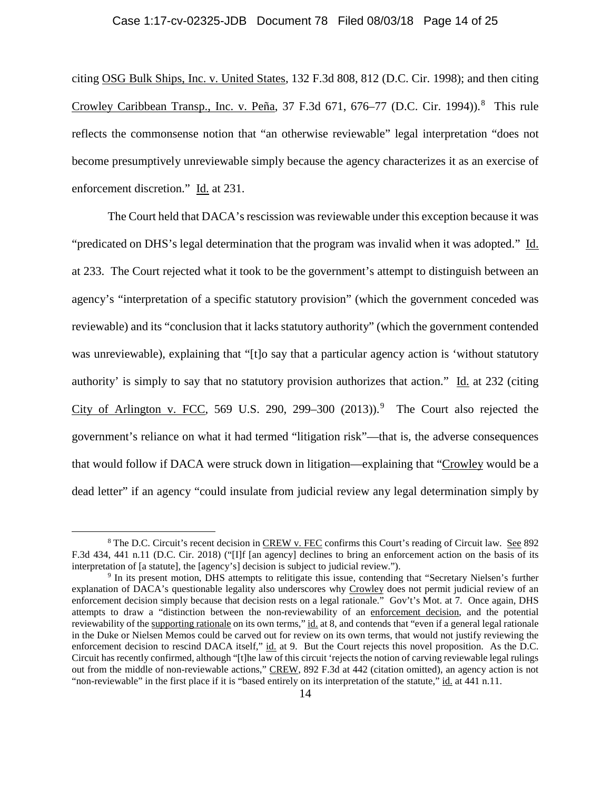### Case 1:17-cv-02325-JDB Document 78 Filed 08/03/18 Page 14 of 25

citing OSG Bulk Ships, Inc. v. United States, 132 F.3d 808, 812 (D.C. Cir. 1998); and then citing Crowley Caribbean Transp., Inc. v. Peña, 37 F.3d 671, 676–77 (D.C. Cir. 1994)).<sup>[8](#page-13-0)</sup> This rule reflects the commonsense notion that "an otherwise reviewable" legal interpretation "does not become presumptively unreviewable simply because the agency characterizes it as an exercise of enforcement discretion." Id. at 231.

The Court held that DACA's rescission was reviewable under this exception because it was "predicated on DHS's legal determination that the program was invalid when it was adopted." Id. at 233. The Court rejected what it took to be the government's attempt to distinguish between an agency's "interpretation of a specific statutory provision" (which the government conceded was reviewable) and its "conclusion that it lacks statutory authority" (which the government contended was unreviewable), explaining that "[t]o say that a particular agency action is 'without statutory authority' is simply to say that no statutory provision authorizes that action." Id. at 232 (citing City of Arlington v. FCC, 56[9](#page-13-1) U.S. 290, 299–300  $(2013)$ .<sup>9</sup> The Court also rejected the government's reliance on what it had termed "litigation risk"—that is, the adverse consequences that would follow if DACA were struck down in litigation—explaining that "Crowley would be a dead letter" if an agency "could insulate from judicial review any legal determination simply by

<span id="page-13-0"></span><sup>&</sup>lt;sup>8</sup> The D.C. Circuit's recent decision in CREW v. FEC confirms this Court's reading of Circuit law. See 892 F.3d 434, 441 n.11 (D.C. Cir. 2018) ("[I]f [an agency] declines to bring an enforcement action on the basis of its interpretation of [a statute], the [agency's] decision is subject to judicial review."). 9 In its present motion, DHS attempts to relitigate this issue, contending that "Secretary Nielsen's further

<span id="page-13-1"></span>explanation of DACA's questionable legality also underscores why Crowley does not permit judicial review of an enforcement decision simply because that decision rests on a legal rationale." Gov't's Mot. at 7. Once again, DHS attempts to draw a "distinction between the non-reviewability of an enforcement decision, and the potential reviewability of the supporting rationale on its own terms," id. at 8, and contends that "even if a general legal rationale in the Duke or Nielsen Memos could be carved out for review on its own terms, that would not justify reviewing the enforcement decision to rescind DACA itself," id. at 9. But the Court rejects this novel proposition. As the D.C. Circuit has recently confirmed, although "[t]he law of this circuit 'rejects the notion of carving reviewable legal rulings out from the middle of non-reviewable actions," CREW, 892 F.3d at 442 (citation omitted), an agency action is not "non-reviewable" in the first place if it is "based entirely on its interpretation of the statute," id. at 441 n.11.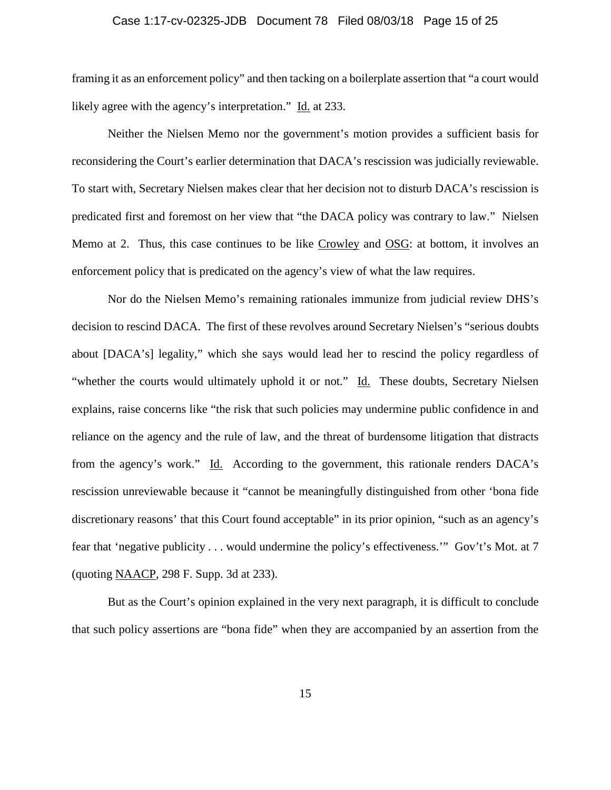## Case 1:17-cv-02325-JDB Document 78 Filed 08/03/18 Page 15 of 25

framing it as an enforcement policy" and then tacking on a boilerplate assertion that "a court would likely agree with the agency's interpretation." Id. at 233.

Neither the Nielsen Memo nor the government's motion provides a sufficient basis for reconsidering the Court's earlier determination that DACA's rescission was judicially reviewable. To start with, Secretary Nielsen makes clear that her decision not to disturb DACA's rescission is predicated first and foremost on her view that "the DACA policy was contrary to law." Nielsen Memo at 2. Thus, this case continues to be like Crowley and OSG: at bottom, it involves an enforcement policy that is predicated on the agency's view of what the law requires.

Nor do the Nielsen Memo's remaining rationales immunize from judicial review DHS's decision to rescind DACA. The first of these revolves around Secretary Nielsen's "serious doubts about [DACA's] legality," which she says would lead her to rescind the policy regardless of "whether the courts would ultimately uphold it or not." Id. These doubts, Secretary Nielsen explains, raise concerns like "the risk that such policies may undermine public confidence in and reliance on the agency and the rule of law, and the threat of burdensome litigation that distracts from the agency's work." Id. According to the government, this rationale renders DACA's rescission unreviewable because it "cannot be meaningfully distinguished from other 'bona fide discretionary reasons' that this Court found acceptable" in its prior opinion, "such as an agency's fear that 'negative publicity . . . would undermine the policy's effectiveness.'" Gov't's Mot. at 7 (quoting NAACP, 298 F. Supp. 3d at 233).

But as the Court's opinion explained in the very next paragraph, it is difficult to conclude that such policy assertions are "bona fide" when they are accompanied by an assertion from the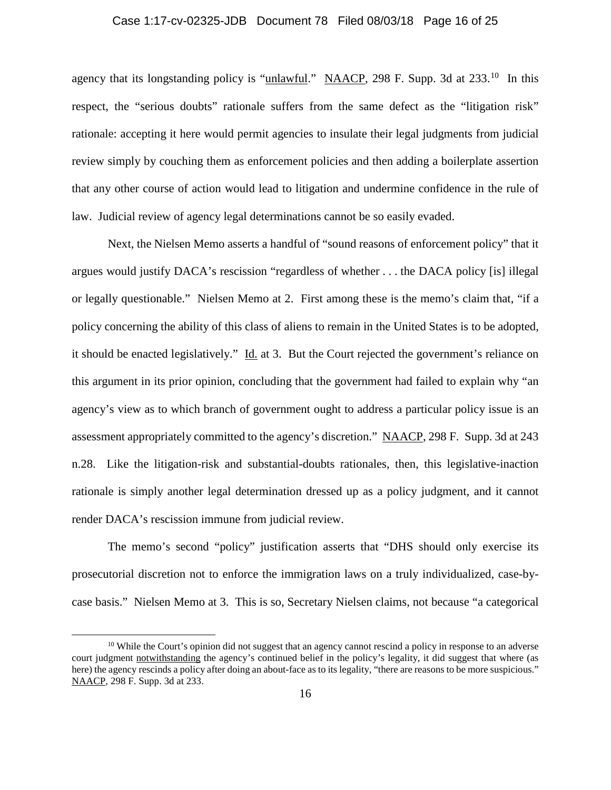## Case 1:17-cv-02325-JDB Document 78 Filed 08/03/18 Page 16 of 25

agency that its longstanding policy is "unlawful." NAACP, 298 F. Supp. 3d at  $233$ .<sup>[10](#page-15-0)</sup> In this respect, the "serious doubts" rationale suffers from the same defect as the "litigation risk" rationale: accepting it here would permit agencies to insulate their legal judgments from judicial review simply by couching them as enforcement policies and then adding a boilerplate assertion that any other course of action would lead to litigation and undermine confidence in the rule of law. Judicial review of agency legal determinations cannot be so easily evaded.

Next, the Nielsen Memo asserts a handful of "sound reasons of enforcement policy" that it argues would justify DACA's rescission "regardless of whether . . . the DACA policy [is] illegal or legally questionable." Nielsen Memo at 2. First among these is the memo's claim that, "if a policy concerning the ability of this class of aliens to remain in the United States is to be adopted, it should be enacted legislatively." Id. at 3. But the Court rejected the government's reliance on this argument in its prior opinion, concluding that the government had failed to explain why "an agency's view as to which branch of government ought to address a particular policy issue is an assessment appropriately committed to the agency's discretion." NAACP, 298 F. Supp. 3d at 243 n.28. Like the litigation-risk and substantial-doubts rationales, then, this legislative-inaction rationale is simply another legal determination dressed up as a policy judgment, and it cannot render DACA's rescission immune from judicial review.

The memo's second "policy" justification asserts that "DHS should only exercise its prosecutorial discretion not to enforce the immigration laws on a truly individualized, case-bycase basis." Nielsen Memo at 3. This is so, Secretary Nielsen claims, not because "a categorical

<span id="page-15-0"></span><sup>&</sup>lt;sup>10</sup> While the Court's opinion did not suggest that an agency cannot rescind a policy in response to an adverse court judgment notwithstanding the agency's continued belief in the policy's legality, it did suggest that where (as here) the agency rescinds a policy after doing an about-face as to its legality, "there are reasons to be more suspicious." NAACP, 298 F. Supp. 3d at 233.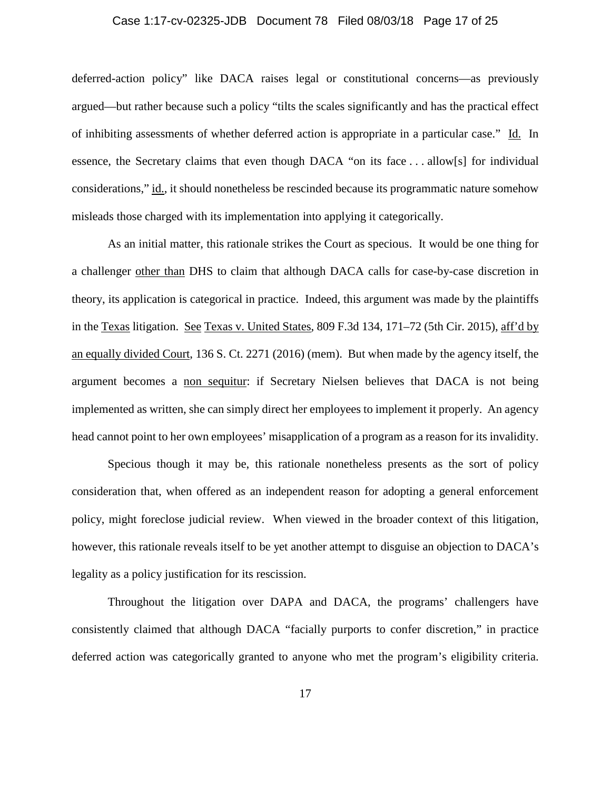## Case 1:17-cv-02325-JDB Document 78 Filed 08/03/18 Page 17 of 25

deferred-action policy" like DACA raises legal or constitutional concerns—as previously argued—but rather because such a policy "tilts the scales significantly and has the practical effect of inhibiting assessments of whether deferred action is appropriate in a particular case." Id. In essence, the Secretary claims that even though DACA "on its face . . . allow[s] for individual considerations," id., it should nonetheless be rescinded because its programmatic nature somehow misleads those charged with its implementation into applying it categorically.

As an initial matter, this rationale strikes the Court as specious. It would be one thing for a challenger other than DHS to claim that although DACA calls for case-by-case discretion in theory, its application is categorical in practice. Indeed, this argument was made by the plaintiffs in the Texas litigation. See Texas v. United States, 809 F.3d 134, 171–72 (5th Cir. 2015), aff'd by an equally divided Court, 136 S. Ct. 2271 (2016) (mem). But when made by the agency itself, the argument becomes a non sequitur: if Secretary Nielsen believes that DACA is not being implemented as written, she can simply direct her employees to implement it properly. An agency head cannot point to her own employees' misapplication of a program as a reason for its invalidity.

Specious though it may be, this rationale nonetheless presents as the sort of policy consideration that, when offered as an independent reason for adopting a general enforcement policy, might foreclose judicial review. When viewed in the broader context of this litigation, however, this rationale reveals itself to be yet another attempt to disguise an objection to DACA's legality as a policy justification for its rescission.

Throughout the litigation over DAPA and DACA, the programs' challengers have consistently claimed that although DACA "facially purports to confer discretion," in practice deferred action was categorically granted to anyone who met the program's eligibility criteria.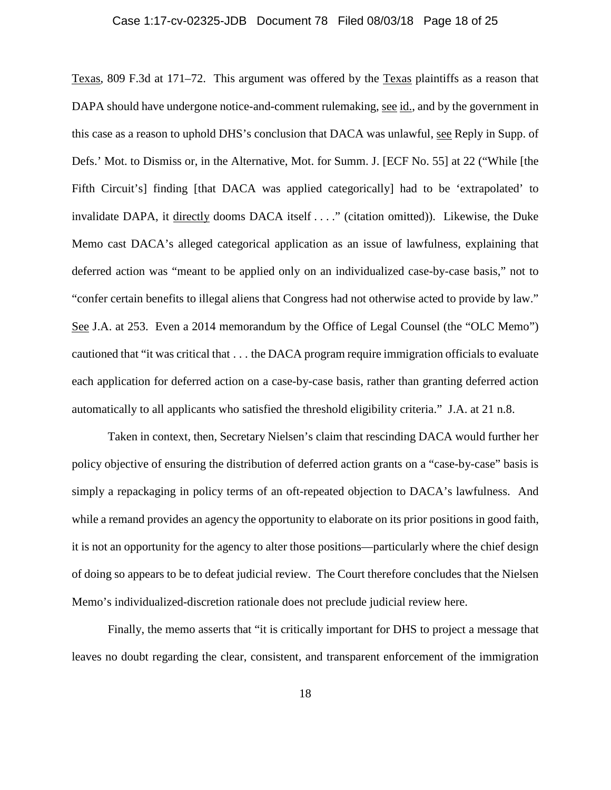#### Case 1:17-cv-02325-JDB Document 78 Filed 08/03/18 Page 18 of 25

Texas, 809 F.3d at 171–72. This argument was offered by the Texas plaintiffs as a reason that DAPA should have undergone notice-and-comment rulemaking, see id., and by the government in this case as a reason to uphold DHS's conclusion that DACA was unlawful, see Reply in Supp. of Defs.' Mot. to Dismiss or, in the Alternative, Mot. for Summ. J. [ECF No. 55] at 22 ("While [the Fifth Circuit's] finding [that DACA was applied categorically] had to be 'extrapolated' to invalidate DAPA, it directly dooms DACA itself . . . ." (citation omitted)). Likewise, the Duke Memo cast DACA's alleged categorical application as an issue of lawfulness, explaining that deferred action was "meant to be applied only on an individualized case-by-case basis," not to "confer certain benefits to illegal aliens that Congress had not otherwise acted to provide by law." See J.A. at 253. Even a 2014 memorandum by the Office of Legal Counsel (the "OLC Memo") cautioned that "it was critical that . . . the DACA program require immigration officials to evaluate each application for deferred action on a case-by-case basis, rather than granting deferred action automatically to all applicants who satisfied the threshold eligibility criteria." J.A. at 21 n.8.

Taken in context, then, Secretary Nielsen's claim that rescinding DACA would further her policy objective of ensuring the distribution of deferred action grants on a "case-by-case" basis is simply a repackaging in policy terms of an oft-repeated objection to DACA's lawfulness. And while a remand provides an agency the opportunity to elaborate on its prior positions in good faith, it is not an opportunity for the agency to alter those positions—particularly where the chief design of doing so appears to be to defeat judicial review. The Court therefore concludes that the Nielsen Memo's individualized-discretion rationale does not preclude judicial review here.

Finally, the memo asserts that "it is critically important for DHS to project a message that leaves no doubt regarding the clear, consistent, and transparent enforcement of the immigration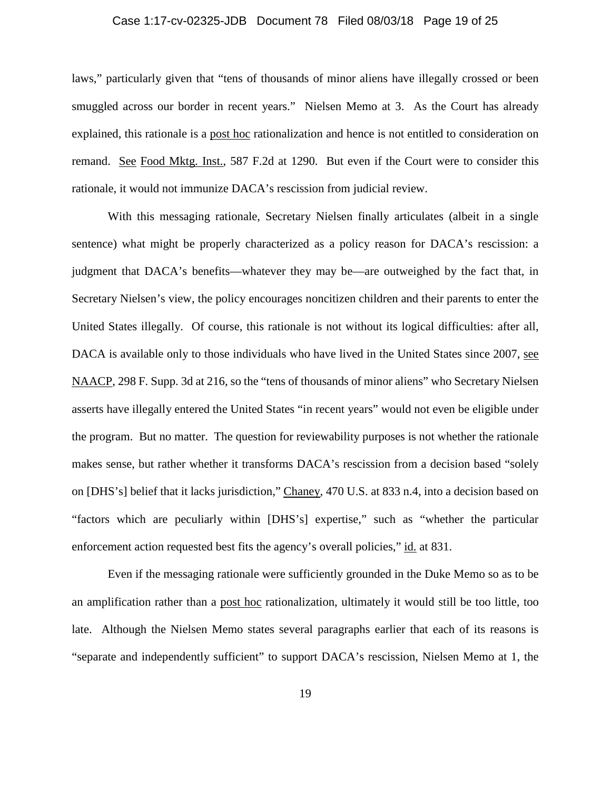## Case 1:17-cv-02325-JDB Document 78 Filed 08/03/18 Page 19 of 25

laws," particularly given that "tens of thousands of minor aliens have illegally crossed or been smuggled across our border in recent years." Nielsen Memo at 3. As the Court has already explained, this rationale is a post hoc rationalization and hence is not entitled to consideration on remand. See Food Mktg. Inst., 587 F.2d at 1290. But even if the Court were to consider this rationale, it would not immunize DACA's rescission from judicial review.

With this messaging rationale, Secretary Nielsen finally articulates (albeit in a single sentence) what might be properly characterized as a policy reason for DACA's rescission: a judgment that DACA's benefits—whatever they may be—are outweighed by the fact that, in Secretary Nielsen's view, the policy encourages noncitizen children and their parents to enter the United States illegally. Of course, this rationale is not without its logical difficulties: after all, DACA is available only to those individuals who have lived in the United States since 2007, see NAACP, 298 F. Supp. 3d at 216, so the "tens of thousands of minor aliens" who Secretary Nielsen asserts have illegally entered the United States "in recent years" would not even be eligible under the program. But no matter. The question for reviewability purposes is not whether the rationale makes sense, but rather whether it transforms DACA's rescission from a decision based "solely on [DHS's] belief that it lacks jurisdiction," Chaney, 470 U.S. at 833 n.4, into a decision based on "factors which are peculiarly within [DHS's] expertise," such as "whether the particular enforcement action requested best fits the agency's overall policies," id. at 831.

Even if the messaging rationale were sufficiently grounded in the Duke Memo so as to be an amplification rather than a post hoc rationalization, ultimately it would still be too little, too late. Although the Nielsen Memo states several paragraphs earlier that each of its reasons is "separate and independently sufficient" to support DACA's rescission, Nielsen Memo at 1, the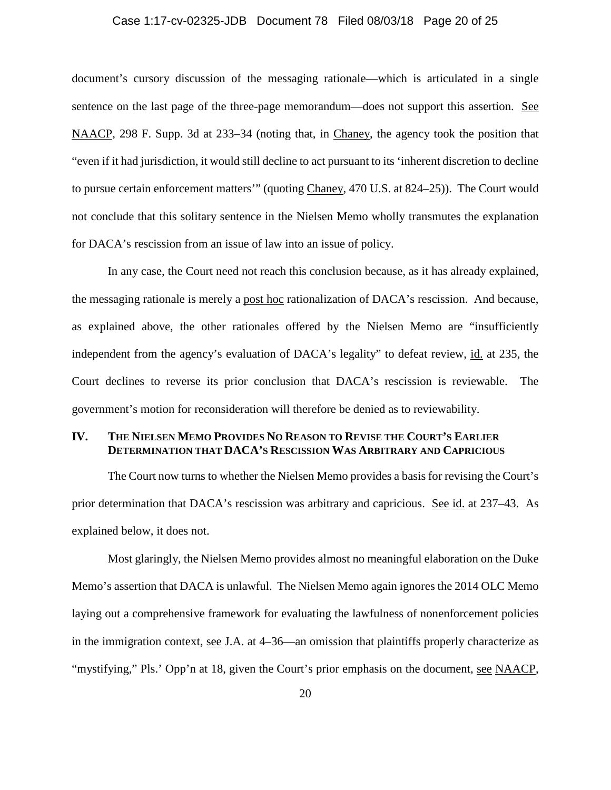## Case 1:17-cv-02325-JDB Document 78 Filed 08/03/18 Page 20 of 25

document's cursory discussion of the messaging rationale—which is articulated in a single sentence on the last page of the three-page memorandum—does not support this assertion. See NAACP, 298 F. Supp. 3d at 233–34 (noting that, in Chaney, the agency took the position that "even if it had jurisdiction, it would still decline to act pursuant to its 'inherent discretion to decline to pursue certain enforcement matters'" (quoting Chaney, 470 U.S. at 824–25)). The Court would not conclude that this solitary sentence in the Nielsen Memo wholly transmutes the explanation for DACA's rescission from an issue of law into an issue of policy.

In any case, the Court need not reach this conclusion because, as it has already explained, the messaging rationale is merely a post hoc rationalization of DACA's rescission. And because, as explained above, the other rationales offered by the Nielsen Memo are "insufficiently independent from the agency's evaluation of DACA's legality" to defeat review, id. at 235, the Court declines to reverse its prior conclusion that DACA's rescission is reviewable. The government's motion for reconsideration will therefore be denied as to reviewability.

## **IV. THE NIELSEN MEMO PROVIDES NO REASON TO REVISE THE COURT'S EARLIER DETERMINATION THAT DACA'S RESCISSION WAS ARBITRARY AND CAPRICIOUS**

The Court now turns to whether the Nielsen Memo provides a basis for revising the Court's prior determination that DACA's rescission was arbitrary and capricious. See id. at 237–43. As explained below, it does not.

Most glaringly, the Nielsen Memo provides almost no meaningful elaboration on the Duke Memo's assertion that DACA is unlawful. The Nielsen Memo again ignores the 2014 OLC Memo laying out a comprehensive framework for evaluating the lawfulness of nonenforcement policies in the immigration context, see J.A. at 4–36—an omission that plaintiffs properly characterize as "mystifying," Pls.' Opp'n at 18, given the Court's prior emphasis on the document, see NAACP,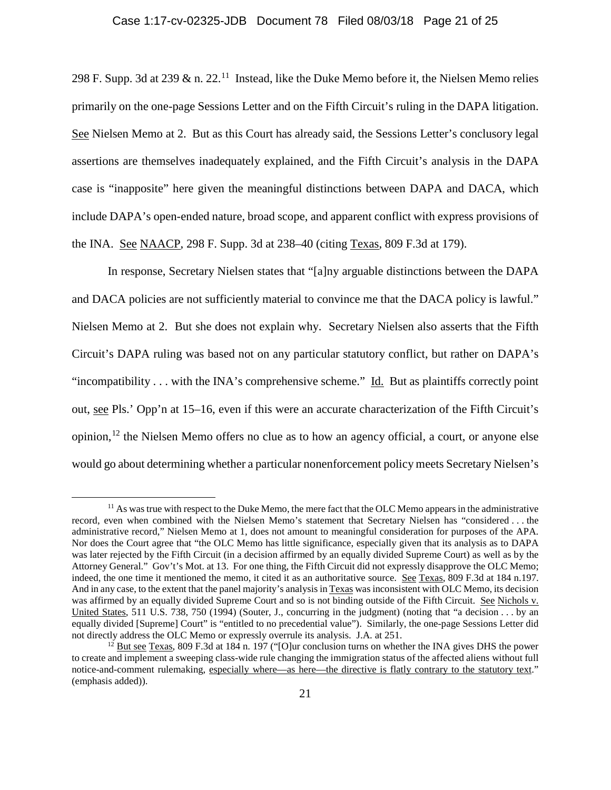## Case 1:17-cv-02325-JDB Document 78 Filed 08/03/18 Page 21 of 25

298 F. Supp. 3d at 239  $\&$  n. 22.<sup>[11](#page-20-0)</sup> Instead, like the Duke Memo before it, the Nielsen Memo relies primarily on the one-page Sessions Letter and on the Fifth Circuit's ruling in the DAPA litigation. See Nielsen Memo at 2. But as this Court has already said, the Sessions Letter's conclusory legal assertions are themselves inadequately explained, and the Fifth Circuit's analysis in the DAPA case is "inapposite" here given the meaningful distinctions between DAPA and DACA, which include DAPA's open-ended nature, broad scope, and apparent conflict with express provisions of the INA. See NAACP, 298 F. Supp. 3d at 238–40 (citing Texas, 809 F.3d at 179).

In response, Secretary Nielsen states that "[a]ny arguable distinctions between the DAPA and DACA policies are not sufficiently material to convince me that the DACA policy is lawful." Nielsen Memo at 2. But she does not explain why. Secretary Nielsen also asserts that the Fifth Circuit's DAPA ruling was based not on any particular statutory conflict, but rather on DAPA's "incompatibility . . . with the INA's comprehensive scheme." Id. But as plaintiffs correctly point out, see Pls.' Opp'n at 15–16, even if this were an accurate characterization of the Fifth Circuit's opinion,  $^{12}$  $^{12}$  $^{12}$  the Nielsen Memo offers no clue as to how an agency official, a court, or anyone else would go about determining whether a particular nonenforcement policy meets Secretary Nielsen's

<span id="page-20-0"></span><sup>&</sup>lt;sup>11</sup> As was true with respect to the Duke Memo, the mere fact that the OLC Memo appears in the administrative record, even when combined with the Nielsen Memo's statement that Secretary Nielsen has "considered . . . the administrative record," Nielsen Memo at 1, does not amount to meaningful consideration for purposes of the APA. Nor does the Court agree that "the OLC Memo has little significance, especially given that its analysis as to DAPA was later rejected by the Fifth Circuit (in a decision affirmed by an equally divided Supreme Court) as well as by the Attorney General." Gov't's Mot. at 13. For one thing, the Fifth Circuit did not expressly disapprove the OLC Memo; indeed, the one time it mentioned the memo, it cited it as an authoritative source. See Texas, 809 F.3d at 184 n.197. And in any case, to the extent that the panel majority's analysis in Texas wasinconsistent with OLC Memo, its decision was affirmed by an equally divided Supreme Court and so is not binding outside of the Fifth Circuit. See Nichols v. United States, 511 U.S. 738, 750 (1994) (Souter, J., concurring in the judgment) (noting that "a decision . . . by an equally divided [Supreme] Court" is "entitled to no precedential value"). Similarly, the one-page Sessions Letter did not directly address the OLC Memo or expressly overrule its analysis. J.A. at 251.<br><sup>12</sup> But see Texas, 809 F.3d at 184 n. 197 ("[O]ur conclusion turns on whether the INA gives DHS the power

<span id="page-20-1"></span>to create and implement a sweeping class-wide rule changing the immigration status of the affected aliens without full notice-and-comment rulemaking, especially where—as here—the directive is flatly contrary to the statutory text." (emphasis added)).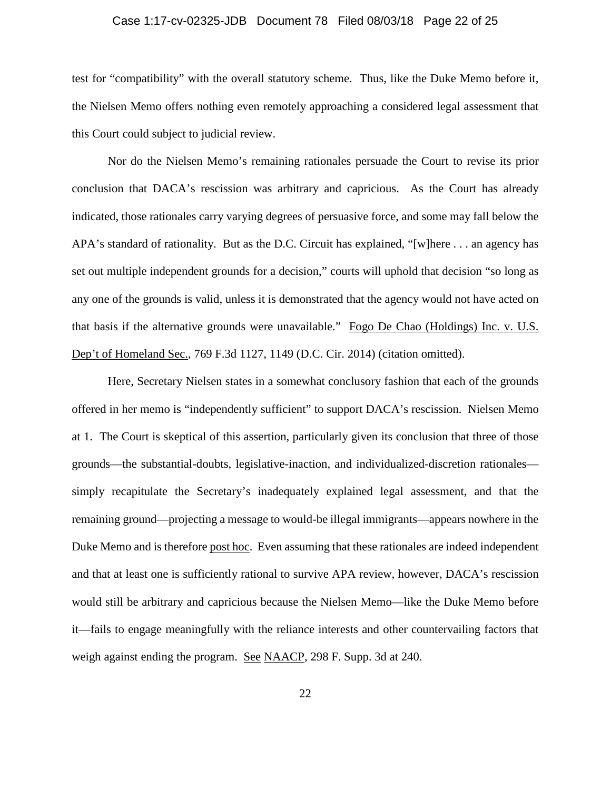### Case 1:17-cv-02325-JDB Document 78 Filed 08/03/18 Page 22 of 25

test for "compatibility" with the overall statutory scheme. Thus, like the Duke Memo before it, the Nielsen Memo offers nothing even remotely approaching a considered legal assessment that this Court could subject to judicial review.

Nor do the Nielsen Memo's remaining rationales persuade the Court to revise its prior conclusion that DACA's rescission was arbitrary and capricious. As the Court has already indicated, those rationales carry varying degrees of persuasive force, and some may fall below the APA's standard of rationality. But as the D.C. Circuit has explained, "[w]here . . . an agency has set out multiple independent grounds for a decision," courts will uphold that decision "so long as any one of the grounds is valid, unless it is demonstrated that the agency would not have acted on that basis if the alternative grounds were unavailable." Fogo De Chao (Holdings) Inc. v. U.S. Dep't of Homeland Sec., 769 F.3d 1127, 1149 (D.C. Cir. 2014) (citation omitted).

Here, Secretary Nielsen states in a somewhat conclusory fashion that each of the grounds offered in her memo is "independently sufficient" to support DACA's rescission. Nielsen Memo at 1. The Court is skeptical of this assertion, particularly given its conclusion that three of those grounds—the substantial-doubts, legislative-inaction, and individualized-discretion rationales simply recapitulate the Secretary's inadequately explained legal assessment, and that the remaining ground—projecting a message to would-be illegal immigrants—appears nowhere in the Duke Memo and is therefore post hoc. Even assuming that these rationales are indeed independent and that at least one is sufficiently rational to survive APA review, however, DACA's rescission would still be arbitrary and capricious because the Nielsen Memo—like the Duke Memo before it—fails to engage meaningfully with the reliance interests and other countervailing factors that weigh against ending the program. See NAACP, 298 F. Supp. 3d at 240.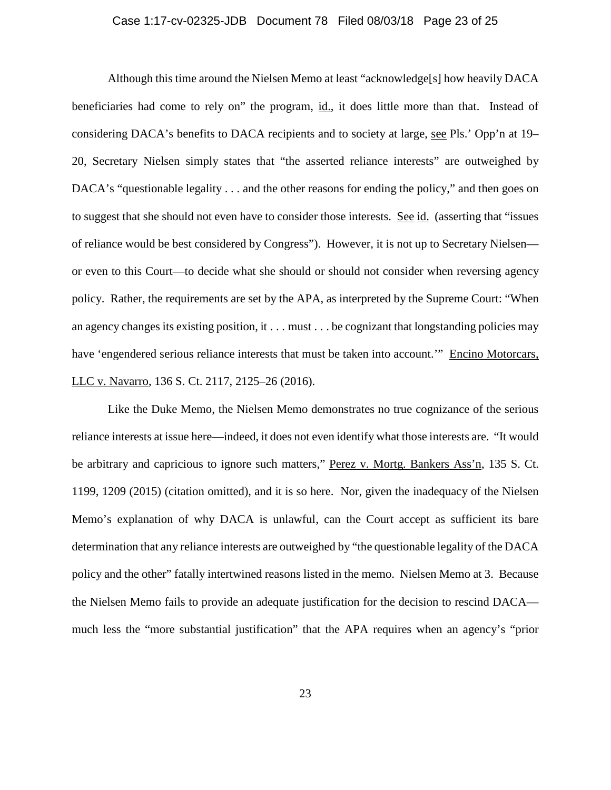### Case 1:17-cv-02325-JDB Document 78 Filed 08/03/18 Page 23 of 25

Although this time around the Nielsen Memo at least "acknowledge[s] how heavily DACA beneficiaries had come to rely on" the program, id., it does little more than that. Instead of considering DACA's benefits to DACA recipients and to society at large, see Pls.' Opp'n at 19– 20, Secretary Nielsen simply states that "the asserted reliance interests" are outweighed by DACA's "questionable legality . . . and the other reasons for ending the policy," and then goes on to suggest that she should not even have to consider those interests. See id. (asserting that "issues of reliance would be best considered by Congress"). However, it is not up to Secretary Nielsen or even to this Court—to decide what she should or should not consider when reversing agency policy. Rather, the requirements are set by the APA, as interpreted by the Supreme Court: "When an agency changes its existing position, it . . . must . . . be cognizant that longstanding policies may have 'engendered serious reliance interests that must be taken into account.'" Encino Motorcars, LLC v. Navarro, 136 S. Ct. 2117, 2125–26 (2016).

Like the Duke Memo, the Nielsen Memo demonstrates no true cognizance of the serious reliance interests at issue here—indeed, it does not even identify what those interests are. "It would be arbitrary and capricious to ignore such matters," Perez v. Mortg. Bankers Ass'n, 135 S. Ct. 1199, 1209 (2015) (citation omitted), and it is so here. Nor, given the inadequacy of the Nielsen Memo's explanation of why DACA is unlawful, can the Court accept as sufficient its bare determination that any reliance interests are outweighed by "the questionable legality of the DACA policy and the other" fatally intertwined reasons listed in the memo. Nielsen Memo at 3. Because the Nielsen Memo fails to provide an adequate justification for the decision to rescind DACA much less the "more substantial justification" that the APA requires when an agency's "prior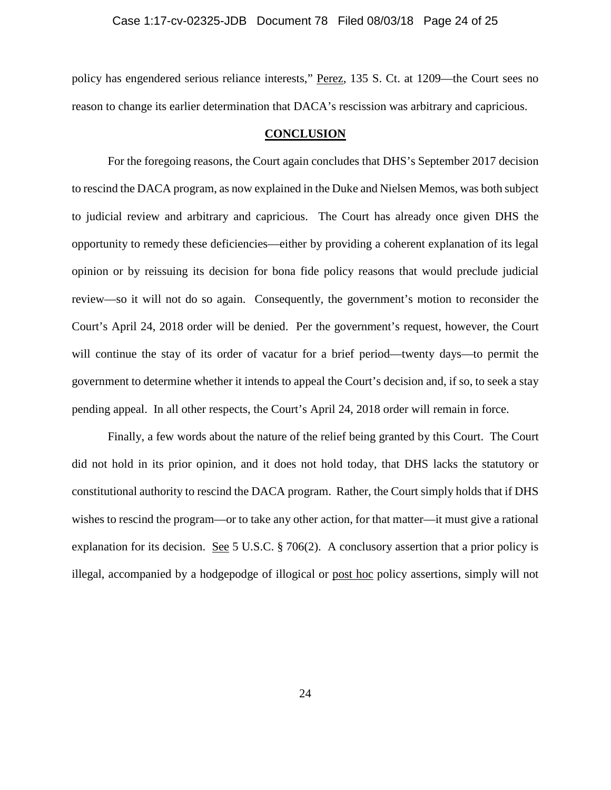#### Case 1:17-cv-02325-JDB Document 78 Filed 08/03/18 Page 24 of 25

policy has engendered serious reliance interests," Perez, 135 S. Ct. at 1209—the Court sees no reason to change its earlier determination that DACA's rescission was arbitrary and capricious.

### **CONCLUSION**

For the foregoing reasons, the Court again concludes that DHS's September 2017 decision to rescind the DACA program, as now explained in the Duke and Nielsen Memos, was both subject to judicial review and arbitrary and capricious. The Court has already once given DHS the opportunity to remedy these deficiencies—either by providing a coherent explanation of its legal opinion or by reissuing its decision for bona fide policy reasons that would preclude judicial review—so it will not do so again. Consequently, the government's motion to reconsider the Court's April 24, 2018 order will be denied. Per the government's request, however, the Court will continue the stay of its order of vacatur for a brief period—twenty days—to permit the government to determine whether it intends to appeal the Court's decision and, if so, to seek a stay pending appeal. In all other respects, the Court's April 24, 2018 order will remain in force.

Finally, a few words about the nature of the relief being granted by this Court. The Court did not hold in its prior opinion, and it does not hold today, that DHS lacks the statutory or constitutional authority to rescind the DACA program. Rather, the Court simply holds that if DHS wishes to rescind the program—or to take any other action, for that matter—it must give a rational explanation for its decision. <u>See</u> 5 U.S.C. § 706(2). A conclusory assertion that a prior policy is illegal, accompanied by a hodgepodge of illogical or post hoc policy assertions, simply will not